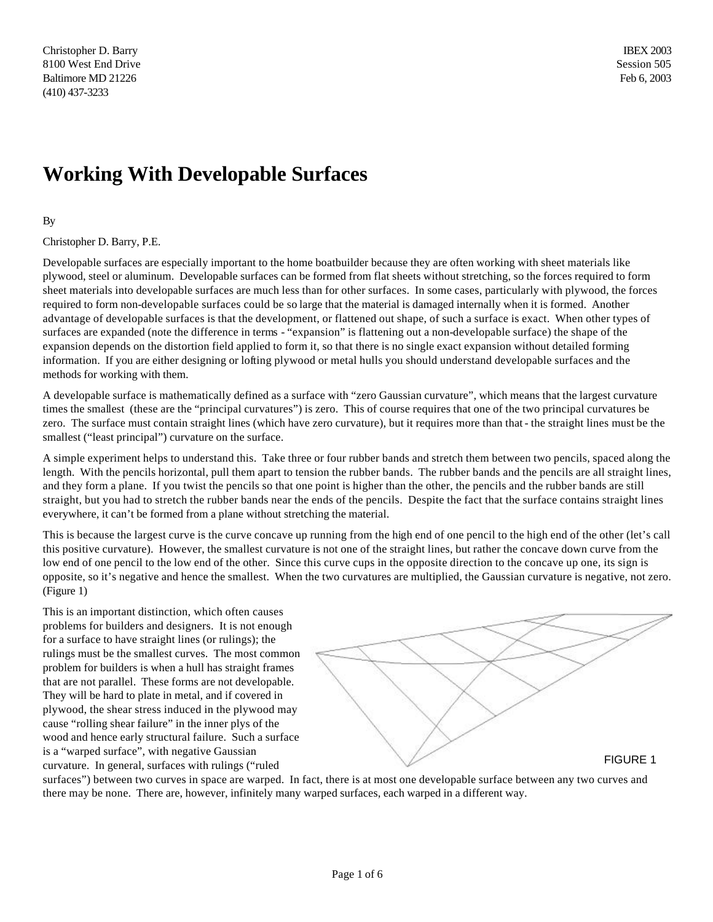## **Working With Developable Surfaces**

## By

## Christopher D. Barry, P.E.

Developable surfaces are especially important to the home boatbuilder because they are often working with sheet materials like plywood, steel or aluminum. Developable surfaces can be formed from flat sheets without stretching, so the forces required to form sheet materials into developable surfaces are much less than for other surfaces. In some cases, particularly with plywood, the forces required to form non-developable surfaces could be so large that the material is damaged internally when it is formed. Another advantage of developable surfaces is that the development, or flattened out shape, of such a surface is exact. When other types of surfaces are expanded (note the difference in terms - "expansion" is flattening out a non-developable surface) the shape of the expansion depends on the distortion field applied to form it, so that there is no single exact expansion without detailed forming information. If you are either designing or lofting plywood or metal hulls you should understand developable surfaces and the methods for working with them.

A developable surface is mathematically defined as a surface with "zero Gaussian curvature", which means that the largest curvature times the smallest (these are the "principal curvatures") is zero. This of course requires that one of the two principal curvatures be zero. The surface must contain straight lines (which have zero curvature), but it requires more than that - the straight lines must be the smallest ("least principal") curvature on the surface.

A simple experiment helps to understand this. Take three or four rubber bands and stretch them between two pencils, spaced along the length. With the pencils horizontal, pull them apart to tension the rubber bands. The rubber bands and the pencils are all straight lines, and they form a plane. If you twist the pencils so that one point is higher than the other, the pencils and the rubber bands are still straight, but you had to stretch the rubber bands near the ends of the pencils. Despite the fact that the surface contains straight lines everywhere, it can't be formed from a plane without stretching the material.

This is because the largest curve is the curve concave up running from the high end of one pencil to the high end of the other (let's call this positive curvature). However, the smallest curvature is not one of the straight lines, but rather the concave down curve from the low end of one pencil to the low end of the other. Since this curve cups in the opposite direction to the concave up one, its sign is opposite, so it's negative and hence the smallest. When the two curvatures are multiplied, the Gaussian curvature is negative, not zero. (Figure 1)

This is an important distinction, which often causes problems for builders and designers. It is not enough for a surface to have straight lines (or rulings); the rulings must be the smallest curves. The most common problem for builders is when a hull has straight frames that are not parallel. These forms are not developable. They will be hard to plate in metal, and if covered in plywood, the shear stress induced in the plywood may cause "rolling shear failure" in the inner plys of the wood and hence early structural failure. Such a surface is a "warped surface", with negative Gaussian curvature. In general, surfaces with rulings ("ruled



surfaces") between two curves in space are warped. In fact, there is at most one developable surface between any two curves and there may be none. There are, however, infinitely many warped surfaces, each warped in a different way.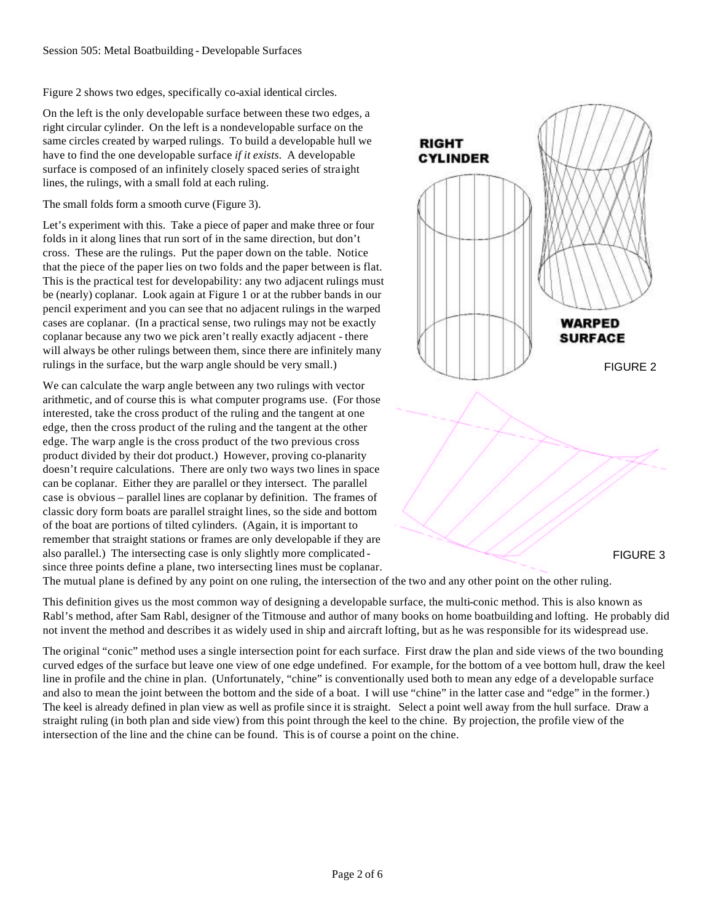Figure 2 shows two edges, specifically co-axial identical circles.

On the left is the only developable surface between these two edges, a right circular cylinder. On the left is a nondevelopable surface on the same circles created by warped rulings. To build a developable hull we have to find the one developable surface *if it exists.* A developable surface is composed of an infinitely closely spaced series of straight lines, the rulings, with a small fold at each ruling.

The small folds form a smooth curve (Figure 3).

Let's experiment with this. Take a piece of paper and make three or four folds in it along lines that run sort of in the same direction, but don't cross. These are the rulings. Put the paper down on the table. Notice that the piece of the paper lies on two folds and the paper between is flat. This is the practical test for developability: any two adjacent rulings must be (nearly) coplanar. Look again at Figure 1 or at the rubber bands in our pencil experiment and you can see that no adjacent rulings in the warped cases are coplanar. (In a practical sense, two rulings may not be exactly coplanar because any two we pick aren't really exactly adjacent - there will always be other rulings between them, since there are infinitely many rulings in the surface, but the warp angle should be very small.)

We can calculate the warp angle between any two rulings with vector arithmetic, and of course this is what computer programs use. (For those interested, take the cross product of the ruling and the tangent at one edge, then the cross product of the ruling and the tangent at the other edge. The warp angle is the cross product of the two previous cross product divided by their dot product.) However, proving co-planarity doesn't require calculations. There are only two ways two lines in space can be coplanar. Either they are parallel or they intersect. The parallel case is obvious – parallel lines are coplanar by definition. The frames of classic dory form boats are parallel straight lines, so the side and bottom of the boat are portions of tilted cylinders. (Again, it is important to remember that straight stations or frames are only developable if they are also parallel.) The intersecting case is only slightly more complicated since three points define a plane, two intersecting lines must be coplanar.



The mutual plane is defined by any point on one ruling, the intersection of the two and any other point on the other ruling.

This definition gives us the most common way of designing a developable surface, the multi-conic method. This is also known as Rabl's method, after Sam Rabl, designer of the Titmouse and author of many books on home boatbuilding and lofting. He probably did not invent the method and describes it as widely used in ship and aircraft lofting, but as he was responsible for its widespread use.

The original "conic" method uses a single intersection point for each surface. First draw the plan and side views of the two bounding curved edges of the surface but leave one view of one edge undefined. For example, for the bottom of a vee bottom hull, draw the keel line in profile and the chine in plan. (Unfortunately, "chine" is conventionally used both to mean any edge of a developable surface and also to mean the joint between the bottom and the side of a boat. I will use "chine" in the latter case and "edge" in the former.) The keel is already defined in plan view as well as profile since it is straight. Select a point well away from the hull surface. Draw a straight ruling (in both plan and side view) from this point through the keel to the chine. By projection, the profile view of the intersection of the line and the chine can be found. This is of course a point on the chine.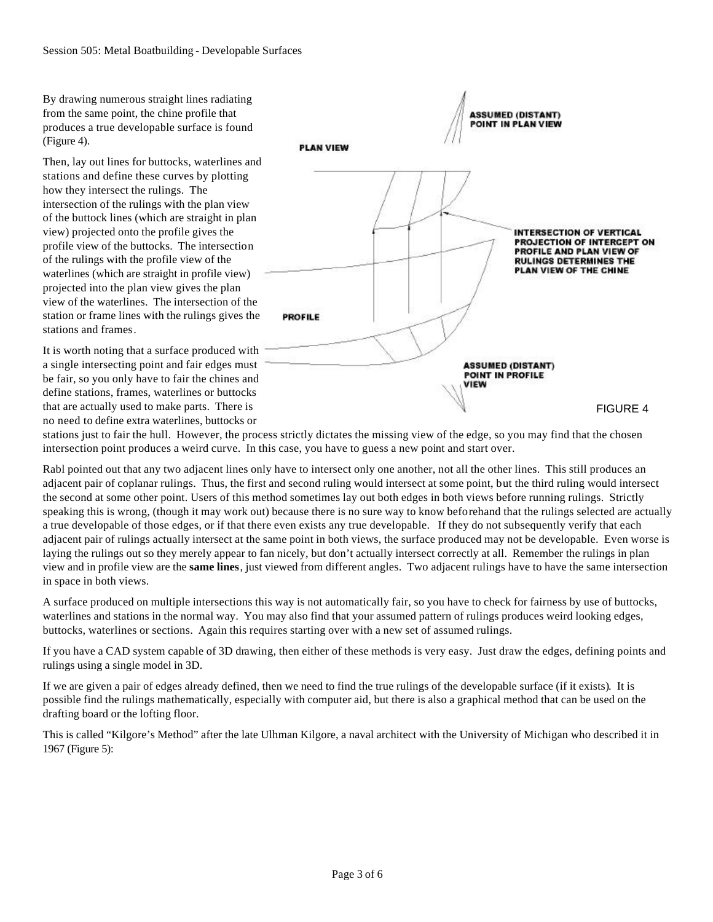By drawing numerous straight lines radiating from the same point, the chine profile that produces a true developable surface is found (Figure 4).

Then, lay out lines for buttocks, waterlines and stations and define these curves by plotting how they intersect the rulings. The intersection of the rulings with the plan view of the buttock lines (which are straight in plan view) projected onto the profile gives the profile view of the buttocks. The intersection of the rulings with the profile view of the waterlines (which are straight in profile view) projected into the plan view gives the plan view of the waterlines. The intersection of the station or frame lines with the rulings gives the stations and frames.

It is worth noting that a surface produced with a single intersecting point and fair edges must be fair, so you only have to fair the chines and define stations, frames, waterlines or buttocks that are actually used to make parts. There is no need to define extra waterlines, buttocks or



stations just to fair the hull. However, the process strictly dictates the missing view of the edge, so you may find that the chosen intersection point produces a weird curve. In this case, you have to guess a new point and start over.

Rabl pointed out that any two adjacent lines only have to intersect only one another, not all the other lines. This still produces an adjacent pair of coplanar rulings. Thus, the first and second ruling would intersect at some point, but the third ruling would intersect the second at some other point. Users of this method sometimes lay out both edges in both views before running rulings. Strictly speaking this is wrong, (though it may work out) because there is no sure way to know beforehand that the rulings selected are actually a true developable of those edges, or if that there even exists any true developable. If they do not subsequently verify that each adjacent pair of rulings actually intersect at the same point in both views, the surface produced may not be developable. Even worse is laying the rulings out so they merely appear to fan nicely, but don't actually intersect correctly at all. Remember the rulings in plan view and in profile view are the **same lines**, just viewed from different angles. Two adjacent rulings have to have the same intersection in space in both views.

A surface produced on multiple intersections this way is not automatically fair, so you have to check for fairness by use of buttocks, waterlines and stations in the normal way. You may also find that your assumed pattern of rulings produces weird looking edges, buttocks, waterlines or sections. Again this requires starting over with a new set of assumed rulings.

If you have a CAD system capable of 3D drawing, then either of these methods is very easy. Just draw the edges, defining points and rulings using a single model in 3D.

If we are given a pair of edges already defined, then we need to find the true rulings of the developable surface (if it exists). It is possible find the rulings mathematically, especially with computer aid, but there is also a graphical method that can be used on the drafting board or the lofting floor.

This is called "Kilgore's Method" after the late Ulhman Kilgore, a naval architect with the University of Michigan who described it in 1967 (Figure 5):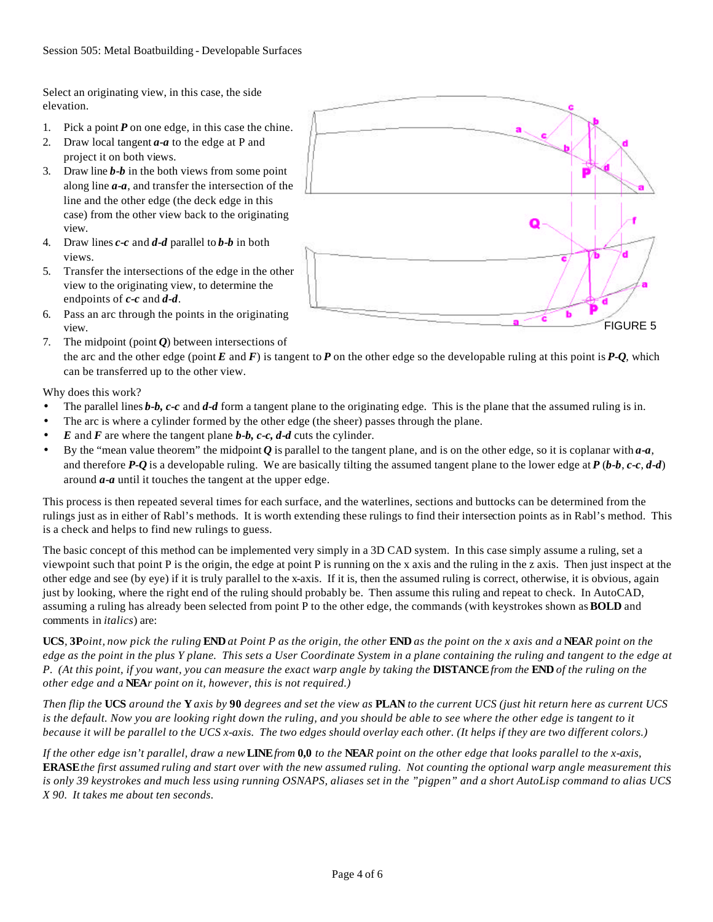Select an originating view, in this case, the side elevation.

- 1. Pick a point *P* on one edge, in this case the chine.
- 2. Draw local tangent *a-a* to the edge at P and project it on both views.
- 3. Draw line *b-b* in the both views from some point along line *a-a*, and transfer the intersection of the line and the other edge (the deck edge in this case) from the other view back to the originating view.
- 4. Draw lines *c-c* and *d-d* parallel to *b-b* in both views.
- 5. Transfer the intersections of the edge in the other view to the originating view, to determine the endpoints of *c-c* and *d-d*.
- 6. Pass an arc through the points in the originating view.



Why does this work?

- The parallel lines *b-b, c-c* and *d-d* form a tangent plane to the originating edge. This is the plane that the assumed ruling is in.
- The arc is where a cylinder formed by the other edge (the sheer) passes through the plane.
- *E* and *F* are where the tangent plane *b-b, c-c, d-d* cuts the cylinder.
- By the "mean value theorem" the midpoint *Q* is parallel to the tangent plane, and is on the other edge, so it is coplanar with *a-a*, and therefore *P-Q* is a developable ruling. We are basically tilting the assumed tangent plane to the lower edge at *P* (*b-b*, *c-c*, *d-d*) around *a-a* until it touches the tangent at the upper edge.

This process is then repeated several times for each surface, and the waterlines, sections and buttocks can be determined from the rulings just as in either of Rabl's methods. It is worth extending these rulings to find their intersection points as in Rabl's method. This is a check and helps to find new rulings to guess.

The basic concept of this method can be implemented very simply in a 3D CAD system. In this case simply assume a ruling, set a viewpoint such that point P is the origin, the edge at point P is running on the x axis and the ruling in the z axis. Then just inspect at the other edge and see (by eye) if it is truly parallel to the x-axis. If it is, then the assumed ruling is correct, otherwise, it is obvious, again just by looking, where the right end of the ruling should probably be. Then assume this ruling and repeat to check. In AutoCAD, assuming a ruling has already been selected from point P to the other edge, the commands (with keystrokes shown as **BOLD** and comments in *italics*) are:

**UCS***,* **3P***oint, now pick the ruling* **END** *at Point P as the origin, the other* **END** *as the point on the x axis and a* **NEA***R point on the edge as the point in the plus Y plane. This sets a User Coordinate System in a plane containing the ruling and tangent to the edge at P. (At this point, if you want, you can measure the exact warp angle by taking the* **DISTANCE** *from the* **END** *of the ruling on the other edge and a* **NEA***r point on it, however, this is not required.)*

*Then flip the* **UCS** *around the* **Y** *axis by* **90** *degrees and set the view as* **PLAN** *to the current UCS (just hit return here as current UCS is the default. Now you are looking right down the ruling, and you should be able to see where the other edge is tangent to it because it will be parallel to the UCS x-axis. The two edges should overlay each other. (It helps if they are two different colors.)*

*If the other edge isn't parallel, draw a new* **LINE** *from* **0,0** *to the* **NEA***R point on the other edge that looks parallel to the x-axis,*  **ERASE** *the first assumed ruling and start over with the new assumed ruling. Not counting the optional warp angle measurement this is only 39 keystrokes and much less using running OSNAPS, aliases set in the "pigpen" and a short AutoLisp command to alias UCS X 90. It takes me about ten seconds.*

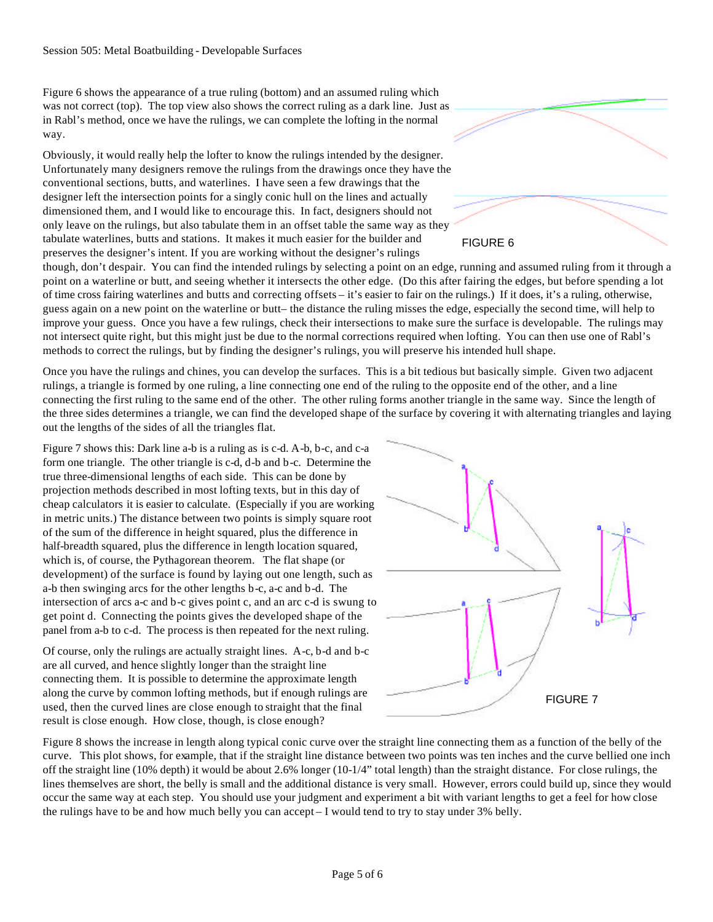Figure 6 shows the appearance of a true ruling (bottom) and an assumed ruling which was not correct (top). The top view also shows the correct ruling as a dark line. Just as in Rabl's method, once we have the rulings, we can complete the lofting in the normal way.

Obviously, it would really help the lofter to know the rulings intended by the designer. Unfortunately many designers remove the rulings from the drawings once they have the conventional sections, butts, and waterlines. I have seen a few drawings that the designer left the intersection points for a singly conic hull on the lines and actually dimensioned them, and I would like to encourage this. In fact, designers should not only leave on the rulings, but also tabulate them in an offset table the same way as they tabulate waterlines, butts and stations. It makes it much easier for the builder and preserves the designer's intent. If you are working without the designer's rulings

though, don't despair. You can find the intended rulings by selecting a point on an edge, running and assumed ruling from it through a point on a waterline or butt, and seeing whether it intersects the other edge. (Do this after fairing the edges, but before spending a lot of time cross fairing waterlines and butts and correcting offsets – it's easier to fair on the rulings.) If it does, it's a ruling, otherwise, guess again on a new point on the waterline or butt– the distance the ruling misses the edge, especially the second time, will help to improve your guess. Once you have a few rulings, check their intersections to make sure the surface is developable. The rulings may not intersect quite right, but this might just be due to the normal corrections required when lofting. You can then use one of Rabl's methods to correct the rulings, but by finding the designer's rulings, you will preserve his intended hull shape.

Once you have the rulings and chines, you can develop the surfaces. This is a bit tedious but basically simple. Given two adjacent rulings, a triangle is formed by one ruling, a line connecting one end of the ruling to the opposite end of the other, and a line connecting the first ruling to the same end of the other. The other ruling forms another triangle in the same way. Since the length of the three sides determines a triangle, we can find the developed shape of the surface by covering it with alternating triangles and laying out the lengths of the sides of all the triangles flat.

Figure 7 shows this: Dark line a-b is a ruling as is c-d. A-b, b-c, and c-a form one triangle. The other triangle is c-d, d-b and b-c. Determine the true three-dimensional lengths of each side. This can be done by projection methods described in most lofting texts, but in this day of cheap calculators it is easier to calculate. (Especially if you are working in metric units.) The distance between two points is simply square root of the sum of the difference in height squared, plus the difference in half-breadth squared, plus the difference in length location squared, which is, of course, the Pythagorean theorem. The flat shape (or development) of the surface is found by laying out one length, such as a-b then swinging arcs for the other lengths b-c, a-c and b-d. The intersection of arcs a-c and b-c gives point c, and an arc c-d is swung to get point d. Connecting the points gives the developed shape of the panel from a-b to c-d. The process is then repeated for the next ruling.

Of course, only the rulings are actually straight lines. A-c, b-d and b-c are all curved, and hence slightly longer than the straight line connecting them. It is possible to determine the approximate length along the curve by common lofting methods, but if enough rulings are used, then the curved lines are close enough to straight that the final result is close enough. How close, though, is close enough?



Figure 8 shows the increase in length along typical conic curve over the straight line connecting them as a function of the belly of the curve. This plot shows, for example, that if the straight line distance between two points was ten inches and the curve bellied one inch off the straight line (10% depth) it would be about 2.6% longer (10-1/4" total length) than the straight distance. For close rulings, the lines themselves are short, the belly is small and the additional distance is very small. However, errors could build up, since they would occur the same way at each step. You should use your judgment and experiment a bit with variant lengths to get a feel for how close the rulings have to be and how much belly you can accept – I would tend to try to stay under 3% belly.



FIGURE 6